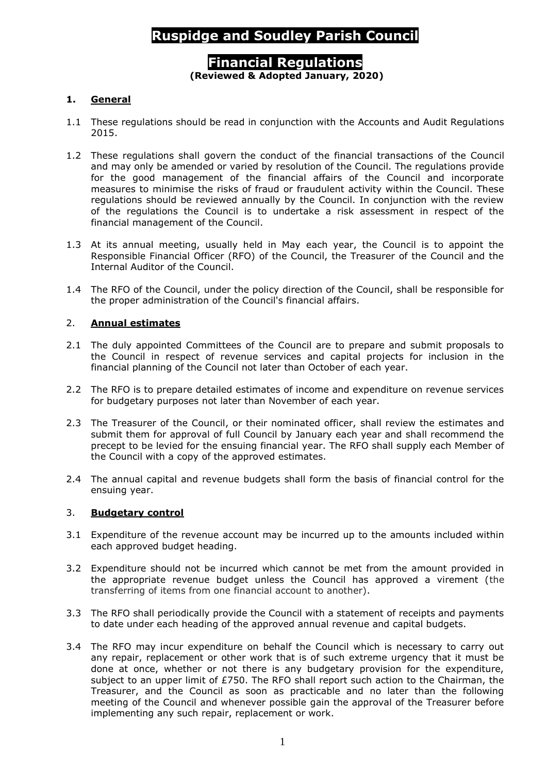# **Ruspidge and Soudley Parish Council**

# **Financial Regulations (Reviewed & Adopted January, 2020)**

## **1. General**

- 1.1 These regulations should be read in conjunction with the Accounts and Audit Regulations 2015.
- 1.2 These regulations shall govern the conduct of the financial transactions of the Council and may only be amended or varied by resolution of the Council. The regulations provide for the good management of the financial affairs of the Council and incorporate measures to minimise the risks of fraud or fraudulent activity within the Council. These regulations should be reviewed annually by the Council. In conjunction with the review of the regulations the Council is to undertake a risk assessment in respect of the financial management of the Council.
- 1.3 At its annual meeting, usually held in May each year, the Council is to appoint the Responsible Financial Officer (RFO) of the Council, the Treasurer of the Council and the Internal Auditor of the Council.
- 1.4 The RFO of the Council, under the policy direction of the Council, shall be responsible for the proper administration of the Council's financial affairs.

#### 2. **Annual estimates**

- 2.1 The duly appointed Committees of the Council are to prepare and submit proposals to the Council in respect of revenue services and capital projects for inclusion in the financial planning of the Council not later than October of each year.
- 2.2 The RFO is to prepare detailed estimates of income and expenditure on revenue services for budgetary purposes not later than November of each year.
- 2.3 The Treasurer of the Council, or their nominated officer, shall review the estimates and submit them for approval of full Council by January each year and shall recommend the precept to be levied for the ensuing financial year. The RFO shall supply each Member of the Council with a copy of the approved estimates.
- 2.4 The annual capital and revenue budgets shall form the basis of financial control for the ensuing year.

#### 3. **Budgetary control**

- 3.1 Expenditure of the revenue account may be incurred up to the amounts included within each approved budget heading.
- 3.2 Expenditure should not be incurred which cannot be met from the amount provided in the appropriate revenue budget unless the Council has approved a virement (the transferring of items from one financial account to another).
- 3.3 The RFO shall periodically provide the Council with a statement of receipts and payments to date under each heading of the approved annual revenue and capital budgets.
- 3.4 The RFO may incur expenditure on behalf the Council which is necessary to carry out any repair, replacement or other work that is of such extreme urgency that it must be done at once, whether or not there is any budgetary provision for the expenditure, subject to an upper limit of  $E750$ . The RFO shall report such action to the Chairman, the Treasurer, and the Council as soon as practicable and no later than the following meeting of the Council and whenever possible gain the approval of the Treasurer before implementing any such repair, replacement or work.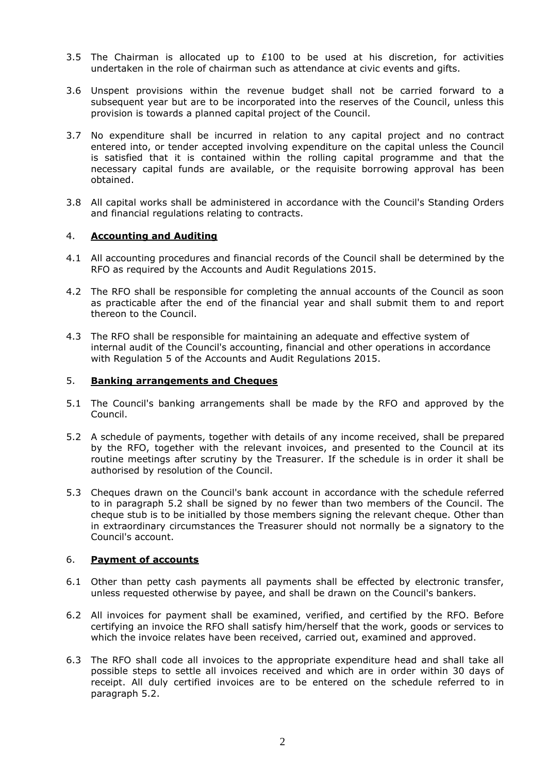- 3.5 The Chairman is allocated up to  $£100$  to be used at his discretion, for activities undertaken in the role of chairman such as attendance at civic events and gifts.
- 3.6 Unspent provisions within the revenue budget shall not be carried forward to a subsequent year but are to be incorporated into the reserves of the Council, unless this provision is towards a planned capital project of the Council.
- 3.7 No expenditure shall be incurred in relation to any capital project and no contract entered into, or tender accepted involving expenditure on the capital unless the Council is satisfied that it is contained within the rolling capital programme and that the necessary capital funds are available, or the requisite borrowing approval has been obtained.
- 3.8 All capital works shall be administered in accordance with the Council's Standing Orders and financial regulations relating to contracts.

## 4. **Accounting and Auditing**

- 4.1 All accounting procedures and financial records of the Council shall be determined by the RFO as required by the Accounts and Audit Regulations 2015.
- 4.2 The RFO shall be responsible for completing the annual accounts of the Council as soon as practicable after the end of the financial year and shall submit them to and report thereon to the Council.
- 4.3 The RFO shall be responsible for maintaining an adequate and effective system of internal audit of the Council's accounting, financial and other operations in accordance with Regulation 5 of the Accounts and Audit Regulations 2015.

## 5. **Banking arrangements and Cheques**

- 5.1 The Council's banking arrangements shall be made by the RFO and approved by the Council.
- 5.2 A schedule of payments, together with details of any income received, shall be prepared by the RFO, together with the relevant invoices, and presented to the Council at its routine meetings after scrutiny by the Treasurer. If the schedule is in order it shall be authorised by resolution of the Council.
- 5.3 Cheques drawn on the Council's bank account in accordance with the schedule referred to in paragraph 5.2 shall be signed by no fewer than two members of the Council. The cheque stub is to be initialled by those members signing the relevant cheque. Other than in extraordinary circumstances the Treasurer should not normally be a signatory to the Council's account.

#### 6. **Payment of accounts**

- 6.1 Other than petty cash payments all payments shall be effected by electronic transfer, unless requested otherwise by payee, and shall be drawn on the Council's bankers.
- 6.2 All invoices for payment shall be examined, verified, and certified by the RFO. Before certifying an invoice the RFO shall satisfy him/herself that the work, goods or services to which the invoice relates have been received, carried out, examined and approved.
- 6.3 The RFO shall code all invoices to the appropriate expenditure head and shall take all possible steps to settle all invoices received and which are in order within 30 days of receipt. All duly certified invoices are to be entered on the schedule referred to in paragraph 5.2.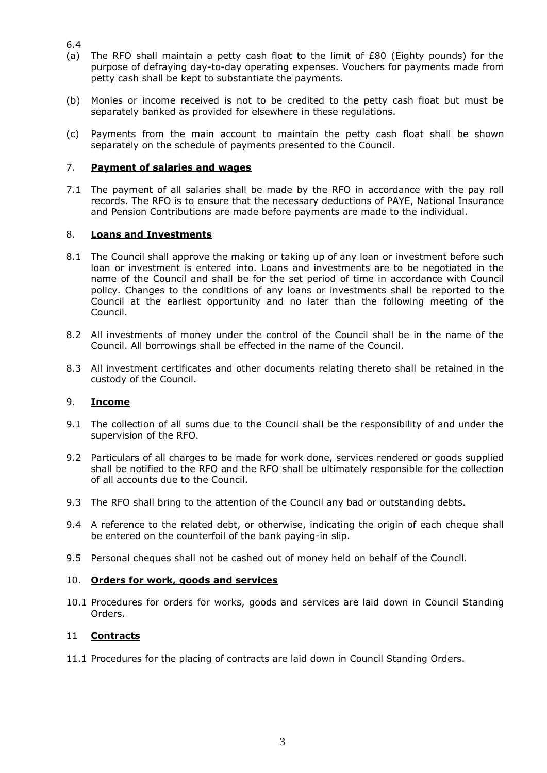- 6.4
- (a) The RFO shall maintain a petty cash float to the limit of £80 (Eighty pounds) for the purpose of defraying day-to-day operating expenses. Vouchers for payments made from petty cash shall be kept to substantiate the payments.
- (b) Monies or income received is not to be credited to the petty cash float but must be separately banked as provided for elsewhere in these regulations.
- (c) Payments from the main account to maintain the petty cash float shall be shown separately on the schedule of payments presented to the Council.

# 7. **Payment of salaries and wages**

7.1 The payment of all salaries shall be made by the RFO in accordance with the pay roll records. The RFO is to ensure that the necessary deductions of PAYE, National Insurance and Pension Contributions are made before payments are made to the individual.

# 8. **Loans and Investments**

- 8.1 The Council shall approve the making or taking up of any loan or investment before such loan or investment is entered into. Loans and investments are to be negotiated in the name of the Council and shall be for the set period of time in accordance with Council policy. Changes to the conditions of any loans or investments shall be reported to the Council at the earliest opportunity and no later than the following meeting of the Council.
- 8.2 All investments of money under the control of the Council shall be in the name of the Council. All borrowings shall be effected in the name of the Council.
- 8.3 All investment certificates and other documents relating thereto shall be retained in the custody of the Council.

# 9. **Income**

- 9.1 The collection of all sums due to the Council shall be the responsibility of and under the supervision of the RFO.
- 9.2 Particulars of all charges to be made for work done, services rendered or goods supplied shall be notified to the RFO and the RFO shall be ultimately responsible for the collection of all accounts due to the Council.
- 9.3 The RFO shall bring to the attention of the Council any bad or outstanding debts.
- 9.4 A reference to the related debt, or otherwise, indicating the origin of each cheque shall be entered on the counterfoil of the bank paying-in slip.
- 9.5 Personal cheques shall not be cashed out of money held on behalf of the Council.

## 10. **Orders for work, goods and services**

10.1 Procedures for orders for works, goods and services are laid down in Council Standing Orders.

## 11 **Contracts**

11.1 Procedures for the placing of contracts are laid down in Council Standing Orders.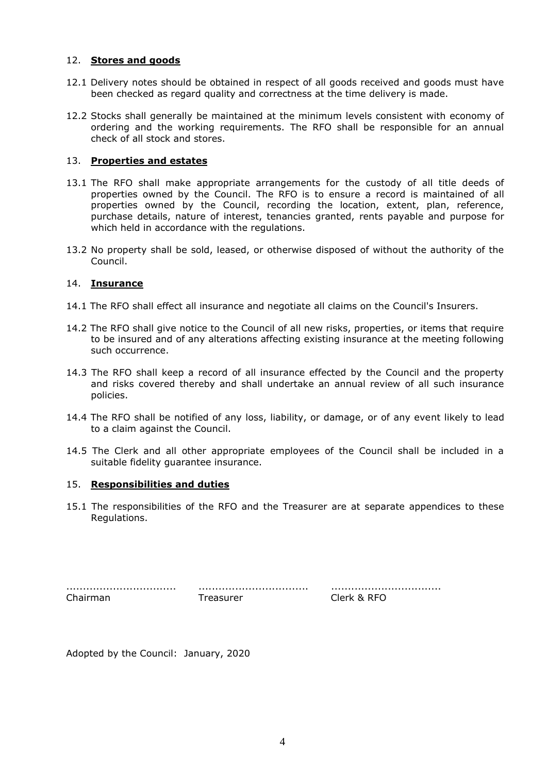#### 12. **Stores and goods**

- 12.1 Delivery notes should be obtained in respect of all goods received and goods must have been checked as regard quality and correctness at the time delivery is made.
- 12.2 Stocks shall generally be maintained at the minimum levels consistent with economy of ordering and the working requirements. The RFO shall be responsible for an annual check of all stock and stores.

## 13. **Properties and estates**

- 13.1 The RFO shall make appropriate arrangements for the custody of all title deeds of properties owned by the Council. The RFO is to ensure a record is maintained of all properties owned by the Council, recording the location, extent, plan, reference, purchase details, nature of interest, tenancies granted, rents payable and purpose for which held in accordance with the regulations.
- 13.2 No property shall be sold, leased, or otherwise disposed of without the authority of the Council.

## 14. **Insurance**

- 14.1 The RFO shall effect all insurance and negotiate all claims on the Council's Insurers.
- 14.2 The RFO shall give notice to the Council of all new risks, properties, or items that require to be insured and of any alterations affecting existing insurance at the meeting following such occurrence.
- 14.3 The RFO shall keep a record of all insurance effected by the Council and the property and risks covered thereby and shall undertake an annual review of all such insurance policies.
- 14.4 The RFO shall be notified of any loss, liability, or damage, or of any event likely to lead to a claim against the Council.
- 14.5 The Clerk and all other appropriate employees of the Council shall be included in a suitable fidelity guarantee insurance.

#### 15. **Responsibilities and duties**

15.1 The responsibilities of the RFO and the Treasurer are at separate appendices to these Regulations.

| Chairman | Treasurer |
|----------|-----------|

................................. ................................. ................................. Clerk & RFO

Adopted by the Council: January, 2020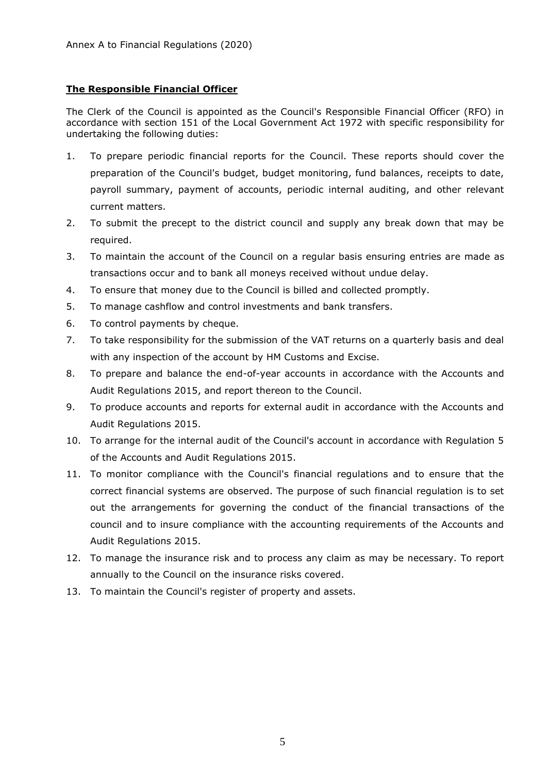# **The Responsible Financial Officer**

The Clerk of the Council is appointed as the Council's Responsible Financial Officer (RFO) in accordance with section 151 of the Local Government Act 1972 with specific responsibility for undertaking the following duties:

- 1. To prepare periodic financial reports for the Council. These reports should cover the preparation of the Council's budget, budget monitoring, fund balances, receipts to date, payroll summary, payment of accounts, periodic internal auditing, and other relevant current matters.
- 2. To submit the precept to the district council and supply any break down that may be required.
- 3. To maintain the account of the Council on a regular basis ensuring entries are made as transactions occur and to bank all moneys received without undue delay.
- 4. To ensure that money due to the Council is billed and collected promptly.
- 5. To manage cashflow and control investments and bank transfers.
- 6. To control payments by cheque.
- 7. To take responsibility for the submission of the VAT returns on a quarterly basis and deal with any inspection of the account by HM Customs and Excise.
- 8. To prepare and balance the end-of-year accounts in accordance with the Accounts and Audit Regulations 2015, and report thereon to the Council.
- 9. To produce accounts and reports for external audit in accordance with the Accounts and Audit Regulations 2015.
- 10. To arrange for the internal audit of the Council's account in accordance with Regulation 5 of the Accounts and Audit Regulations 2015.
- 11. To monitor compliance with the Council's financial regulations and to ensure that the correct financial systems are observed. The purpose of such financial regulation is to set out the arrangements for governing the conduct of the financial transactions of the council and to insure compliance with the accounting requirements of the Accounts and Audit Regulations 2015.
- 12. To manage the insurance risk and to process any claim as may be necessary. To report annually to the Council on the insurance risks covered.
- 13. To maintain the Council's register of property and assets.